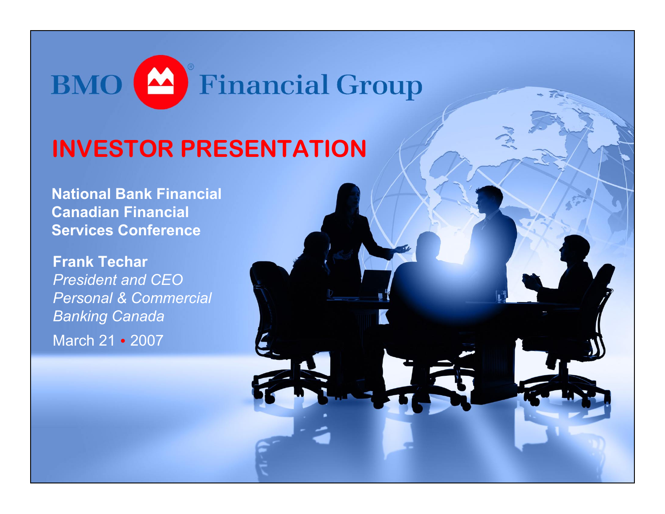

#### **INVESTOR PRESENTATION**

**National Bank Financial Canadian Financial Services Conference**

**Frank Techar**  *President and CEO Personal & Commercial Banking Canada*  March 21 • 2007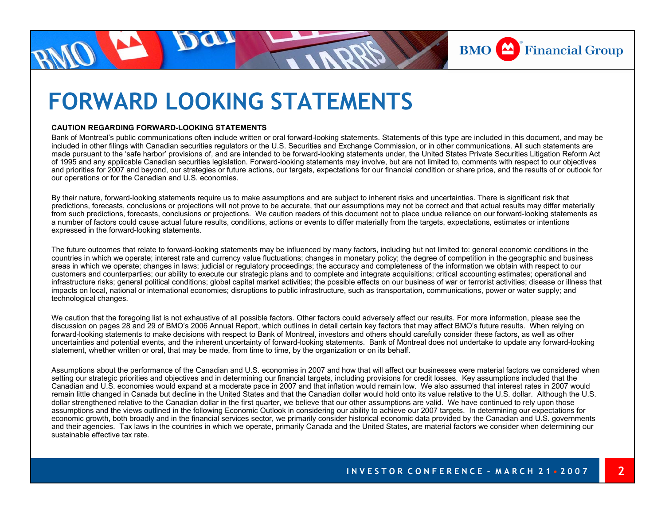

#### **FORWARD LOOKING STATEMENTS**

#### **CAUTION REGARDING FORWARD-LOOKING STATEMENTS**

Bank of Montreal's public communications often include written or oral forward-looking statements. Statements of this type are included in this document, and may be included in other filings with Canadian securities regulators or the U.S. Securities and Exchange Commission, or in other communications. All such statements are made pursuant to the 'safe harbor' provisions of, and are intended to be forward-looking statements under, the United States Private Securities Litigation Reform Act of 1995 and any applicable Canadian securities legislation. Forward-looking statements may involve, but are not limited to, comments with respect to our objectives and priorities for 2007 and beyond, our strategies or future actions, our targets, expectations for our financial condition or share price, and the results of or outlook for our operations or for the Canadian and U.S. economies.

By their nature, forward-looking statements require us to make assumptions and are subject to inherent risks and uncertainties. There is significant risk that predictions, forecasts, conclusions or projections will not prove to be accurate, that our assumptions may not be correct and that actual results may differ materially from such predictions, forecasts, conclusions or projections. We caution readers of this document not to place undue reliance on our forward-looking statements as a number of factors could cause actual future results, conditions, actions or events to differ materially from the targets, expectations, estimates or intentions expressed in the forward-looking statements.

The future outcomes that relate to forward-looking statements may be influenced by many factors, including but not limited to: general economic conditions in the countries in which we operate; interest rate and currency value fluctuations; changes in monetary policy; the degree of competition in the geographic and business areas in which we operate; changes in laws; judicial or regulatory proceedings; the accuracy and completeness of the information we obtain with respect to our customers and counterparties; our ability to execute our strategic plans and to complete and integrate acquisitions; critical accounting estimates; operational and infrastructure risks; general political conditions; global capital market activities; the possible effects on our business of war or terrorist activities; disease or illness that impacts on local, national or international economies; disruptions to public infrastructure, such as transportation, communications, power or water supply; and technological changes.

We caution that the foregoing list is not exhaustive of all possible factors. Other factors could adversely affect our results. For more information, please see the discussion on pages 28 and 29 of BMO's 2006 Annual Report, which outlines in detail certain key factors that may affect BMO's future results. When relying on forward-looking statements to make decisions with respect to Bank of Montreal, investors and others should carefully consider these factors, as well as other uncertainties and potential events, and the inherent uncertainty of forward-looking statements. Bank of Montreal does not undertake to update any forward-looking statement, whether written or oral, that may be made, from time to time, by the organization or on its behalf.

Assumptions about the performance of the Canadian and U.S. economies in 2007 and how that will affect our businesses were material factors we considered when setting our strategic priorities and objectives and in determining our financial targets, including provisions for credit losses. Key assumptions included that the Canadian and U.S. economies would expand at a moderate pace in 2007 and that inflation would remain low. We also assumed that interest rates in 2007 would remain little changed in Canada but decline in the United States and that the Canadian dollar would hold onto its value relative to the U.S. dollar. Although the U.S. dollar strengthened relative to the Canadian dollar in the first quarter, we believe that our other assumptions are valid. We have continued to rely upon those assumptions and the views outlined in the following Economic Outlook in considering our ability to achieve our 2007 targets. In determining our expectations for economic growth, both broadly and in the financial services sector, we primarily consider historical economic data provided by the Canadian and U.S. governments and their agencies. Tax laws in the countries in which we operate, primarily Canada and the United States, are material factors we consider when determining our sustainable effective tax rate.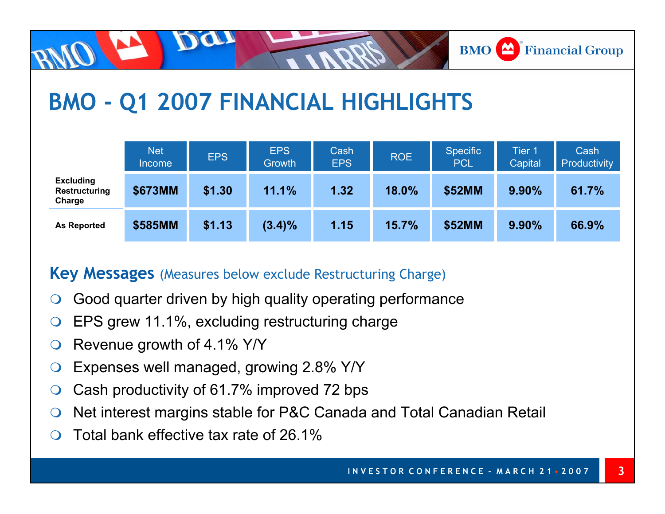

# **BMO - Q1 2007 FINANCIAL HIGHLIGHTS**

|                                             | <b>Net</b><br><b>Income</b> | <b>EPS</b> | <b>EPS</b><br>Growth | Cash<br><b>EPS</b> | <b>ROE</b> | <b>Specific</b><br><b>PCL</b> | Tier 1<br><b>Capital</b> | Cash<br>Productivity |
|---------------------------------------------|-----------------------------|------------|----------------------|--------------------|------------|-------------------------------|--------------------------|----------------------|
| <b>Excluding</b><br>Restructuring<br>Charge | \$673MM                     | \$1.30     | 11.1%                | 1.32               | 18.0%      | \$52MM                        | $9.90\%$                 | 61.7%                |
| <b>As Reported</b>                          | \$585MM                     | \$1.13     | $(3.4)\%$            | 1.15               | 15.7%      | \$52MM                        | $9.90\%$                 | 66.9%                |

#### **Key Messages** (Measures below exclude Restructuring Charge)

- $\bigcirc$ Good quarter driven by high quality operating performance
- $\bigcirc$ EPS grew 11.1%, excluding restructuring charge
- $\bigcirc$ Revenue growth of 4.1% Y/Y
- $\bigcirc$ Expenses well managed, growing 2.8% Y/Y
- $\bigcirc$ Cash productivity of 61.7% improved 72 bps
- $\bigcirc$ Net interest margins stable for P&C Canada and Total Canadian Retail
- $\bigcirc$ Total bank effective tax rate of 26.1%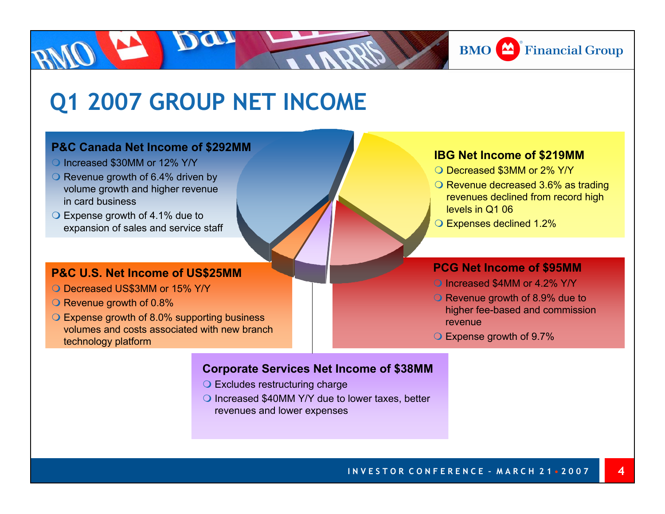

### **Q1 2007 GROUP NET INCOME**

#### **P&C Canada Net Income of \$292MM**

- O Increased \$30MM or 12% Y/Y
- $\bigcirc$  Revenue growth of 6.4% driven by volume growth and higher revenue in card business
- $\bigcirc$  Expense growth of 4.1% due to expansion of sales and service staff

#### **P&C U.S. Net Income of US\$25MM**

- O Decreased US\$3MM or 15% Y/Y
- $\bigcirc$  Revenue growth of 0.8%
- Expense growth of 8.0% supporting business volumes and costs associated with new branch technology platform

#### **IBG Net Income of \$219MM**

- O Decreased \$3MM or 2% Y/Y
- $\bigcirc$  Revenue decreased 3.6% as trading revenues declined from record high levels in Q1 06
- Expenses declined 1.2%

#### **PCG Net Income of \$95MM**

- O Increased \$4MM or 4.2% Y/Y
- Revenue growth of 8.9% due to higher fee-based and commission revenue

**4**

Expense growth of 9.7%

#### **Corporate Services Net Income of \$38MM**

- **O** Excludes restructuring charge
- ◯ Increased \$40MM Y/Y due to lower taxes, better revenues and lower expenses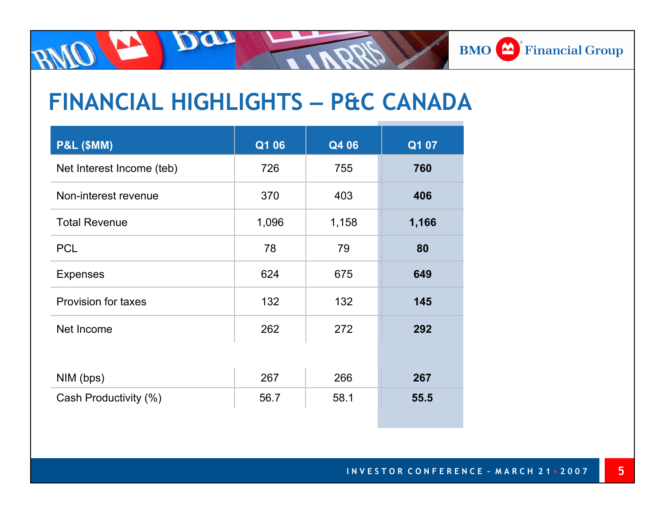#### **BMO** Financial Group

## **FINANCIAL HIGHLIGHTS – P&C CANADA**

Dan

| <b>P&amp;L (\$MM)</b>      | Q1 06 | Q4 06 | Q1 07 |
|----------------------------|-------|-------|-------|
| Net Interest Income (teb)  | 726   | 755   | 760   |
| Non-interest revenue       | 370   | 403   | 406   |
| <b>Total Revenue</b>       | 1,096 | 1,158 | 1,166 |
| <b>PCL</b>                 | 78    | 79    | 80    |
| <b>Expenses</b>            | 624   | 675   | 649   |
| <b>Provision for taxes</b> | 132   | 132   | 145   |
| Net Income                 | 262   | 272   | 292   |
|                            |       |       |       |
| NIM (bps)                  | 267   | 266   | 267   |
| Cash Productivity (%)      | 56.7  | 58.1  | 55.5  |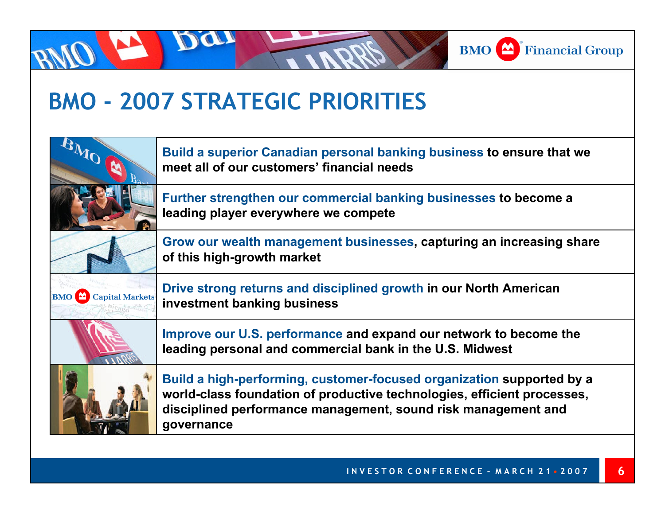

### **BMO - 2007 STRATEGIC PRIORITIES**

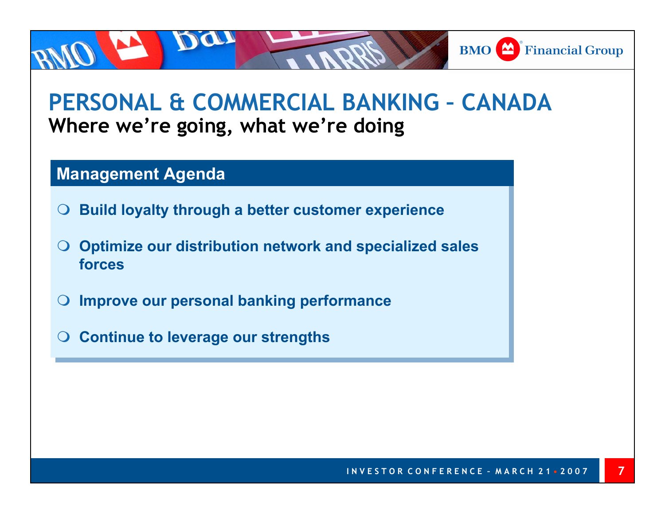#### **PERSONAL & COMMERCIAL BANKING – CANADAWhere we're going, what we're doing**

#### **Management Agenda**

- $\bullet$ **Build loyalty through a better customer experience Build loyalty through a better customer experience**
- $\bullet$  **Optimize our distribution network and specialized sales Optimize our distribution network and specialized sales forcesforces**
- $\bullet$ **Improve our personal banking performance Improve our personal banking performance**
- $\bullet$ **Continue to leverage our strengths Continue to leverage our strengths**

**BMO** Financial Group

**7**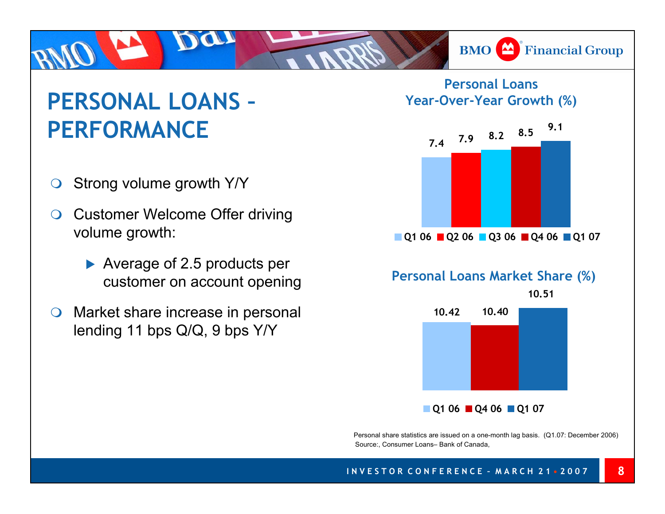# **PERSONAL LOANS –PERFORMANCE**

- $\bigcirc$ Strong volume growth Y/Y
- $\bigcirc$  Customer Welcome Offer driving volume growth:
	- $\blacktriangleright$  Average of 2.5 products per customer on account opening
- $\bigcirc$  Market share increase in personal lending 11 bps Q/Q, 9 bps Y/Y

**Personal Loans Year-Over-Year Growth (%)**

**BMO** Financial Group



**Q1 06 Q4 06 Q1 07**

Personal share statistics are issued on a one-month lag basis. (Q1.07: December 2006) Source:, Consumer Loans– Bank of Canada,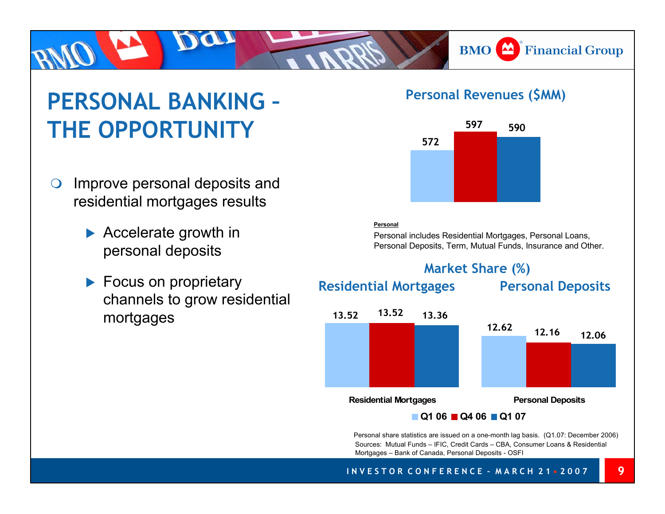# **PERSONAL BANKING –THE OPPORTUNITY**

- $\bigcirc$  Improve personal deposits and residential mortgages results
	- $\blacktriangleright$  Accelerate growth in personal deposits
	- $\blacktriangleright$  Focus on proprietary channels to grow residential mortgages

#### **Personal Revenues (\$MM)**

**BMO** Financial Group



#### **Personal**

Personal includes Residential Mortgages, Personal Loans, Personal Deposits, Term, Mutual Funds, Insurance and Other.

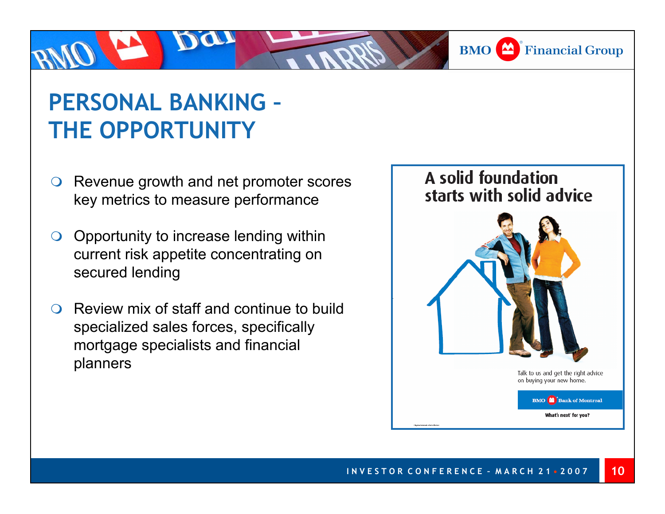

## **PERSONAL BANKING – THE OPPORTUNITY**

- $\bigcirc$  Revenue growth and net promoter scores key metrics to measure performance
- $\bigcirc$  Opportunity to increase lending within current risk appetite concentrating on secured lending
- $\Omega$  Review mix of staff and continue to build specialized sales forces, specifically mortgage specialists and financial planners

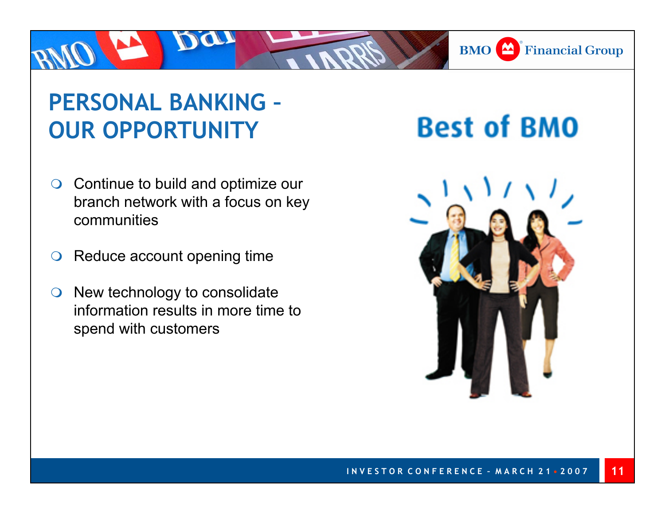## **PERSONAL BANKING –OUR OPPORTUNITY**

- $\bigcirc$  Continue to build and optimize our branch network with a focus on key communities
- $\bigcirc$ Reduce account opening time
- $\bigcirc$  New technology to consolidate information results in more time to spend with customers

# **Best of BMO**

**BMO** Financial Group

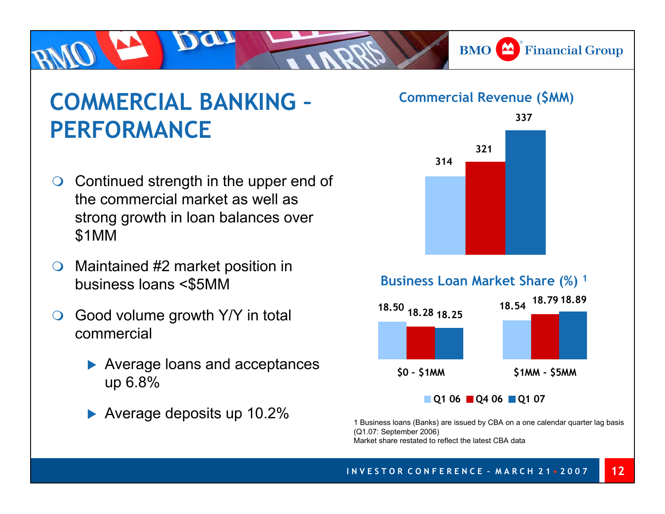**BMO** Financial Group

## **COMMERCIAL BANKING –PERFORMANCE**

- ◯ Continued strength in the upper end of the commercial market as well as strong growth in loan balances over \$1MM
- $\bigcirc$  Maintained #2 market position in business loans <\$5MM
- $\Omega$  Good volume growth Y/Y in total commercial
	- $\blacktriangleright$  Average loans and acceptances up 6.8%
	- ▶ Average deposits up 10.2%

#### **Commercial Revenue (\$MM)**



**\$0 - \$1MM \$1MM - \$5MM**

**Q1 06 Q4 06 Q1 07**

1 Business loans (Banks) are issued by CBA on a one calendar quarter lag basis (Q1.07: September 2006) Market share restated to reflect the latest CBA data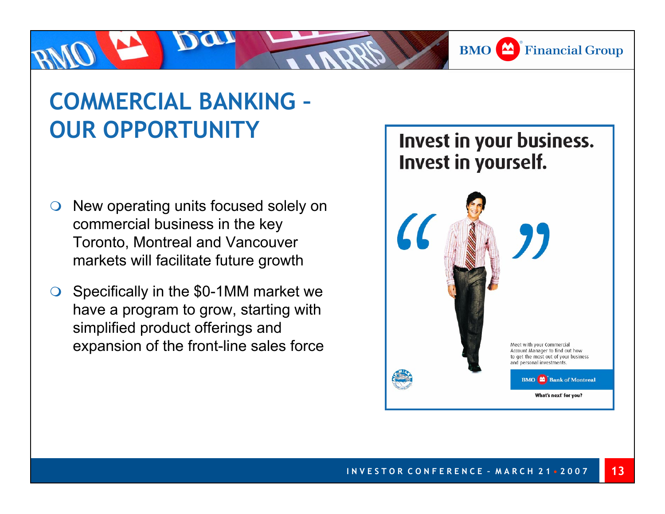**BMO** Financial Group

# **COMMERCIAL BANKING –OUR OPPORTUNITY**

- $\bigcirc$  New operating units focused solely on commercial business in the key Toronto, Montreal and Vancouver markets will facilitate future growth
- $\bigcirc$  Specifically in the \$0-1MM market we have a program to grow, starting with simplified product offerings and expansion of the front-line sales force

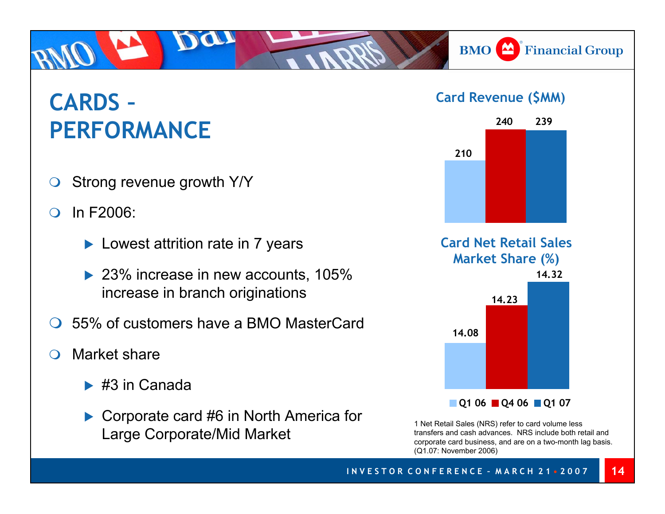# **CARDS –PERFORMANCE**

- $\bigcirc$ Strong revenue growth Y/Y
- $\Omega$  In F2006:
	- $\blacktriangleright$  Lowest attrition rate in 7 years
	- $\blacktriangleright$  23% increase in new accounts, 105% increase in branch originations
- $\bigcap$ 55% of customers have a BMO MasterCard
- $\bigcap$  Market share
	- $\blacktriangleright$  #3 in Canada
	- $\triangleright$  Corporate card #6 in North America for Large Corporate/Mid Market

#### **Card Revenue (\$MM)**

**BMO** Financial Group



1 Net Retail Sales (NRS) refer to card volume less transfers and cash advances. NRS include both retail and corporate card business, and are on a two-month lag basis. (Q1.07: November 2006)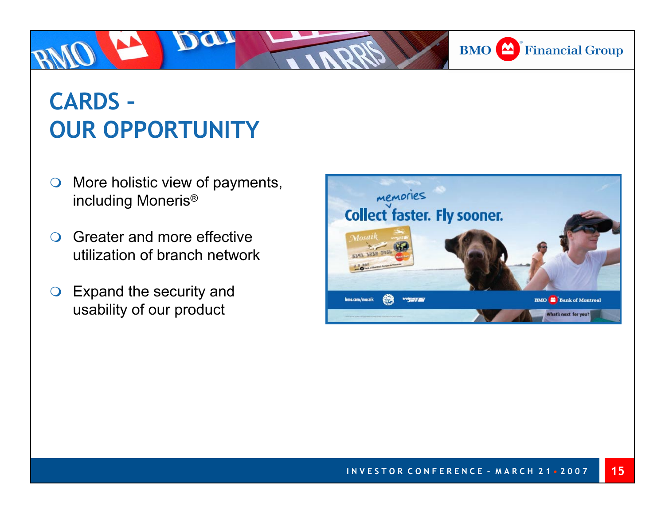# **CARDS –OUR OPPORTUNITY**

Da

- $\bigcirc$  More holistic view of payments, including Moneris®
- $\bigcirc$  Greater and more effective utilization of branch network
- $\bigcirc$  Expand the security and usability of our product



**BMO** Financial Group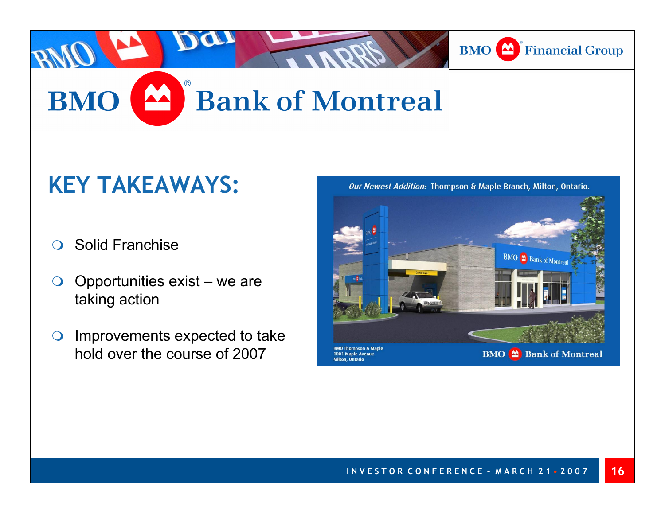

**BMO** Bank of Montreal

**BMO 2** Bank of Montreal

**BMO** Bank of Montreal

### **KEY TAKEAWAYS:**

- $\bigcirc$ Solid Franchise
- $\bigcirc$  Opportunities exist – we are taking action
- $\bigcirc$  Improvements expected to take hold over the course of 2007

Our Newest Addition: Thompson & Maple Branch, Milton, Ontario.



**MO Thompson & Ma** 

1001 Maple Avenue Milton, Ontario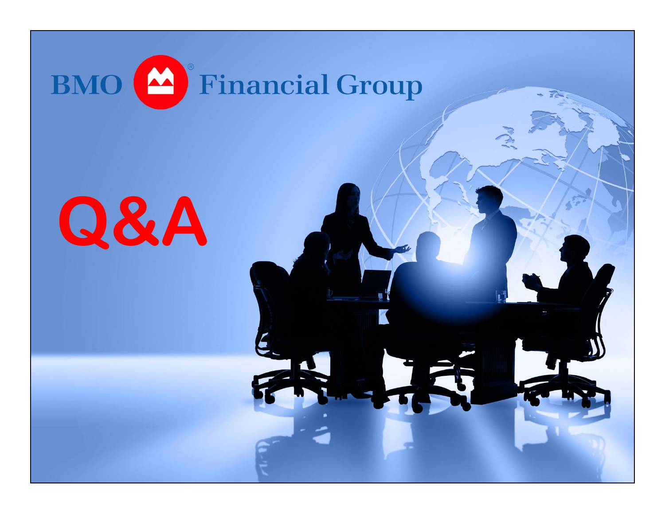